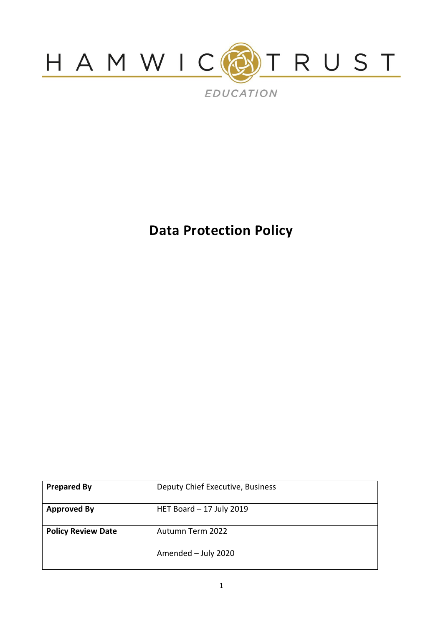

**Data Protection Policy**

| <b>Prepared By</b>        | Deputy Chief Executive, Business |
|---------------------------|----------------------------------|
| <b>Approved By</b>        | HET Board $-17$ July 2019        |
| <b>Policy Review Date</b> | Autumn Term 2022                 |
|                           | Amended - July 2020              |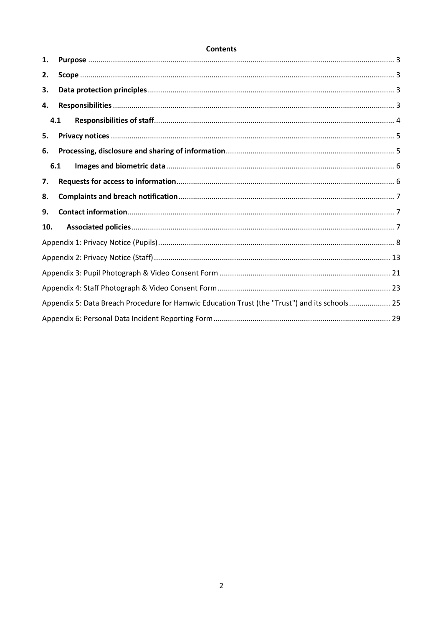### **Contents**

| 1.  |                                                                                               |  |
|-----|-----------------------------------------------------------------------------------------------|--|
| 2.  |                                                                                               |  |
| 3.  |                                                                                               |  |
| 4.  |                                                                                               |  |
| 4.1 |                                                                                               |  |
| 5.  |                                                                                               |  |
| 6.  |                                                                                               |  |
| 6.1 |                                                                                               |  |
| 7.  |                                                                                               |  |
| 8.  |                                                                                               |  |
| 9.  |                                                                                               |  |
| 10. |                                                                                               |  |
|     |                                                                                               |  |
|     |                                                                                               |  |
|     |                                                                                               |  |
|     |                                                                                               |  |
|     |                                                                                               |  |
|     | Appendix 5: Data Breach Procedure for Hamwic Education Trust (the "Trust") and its schools 25 |  |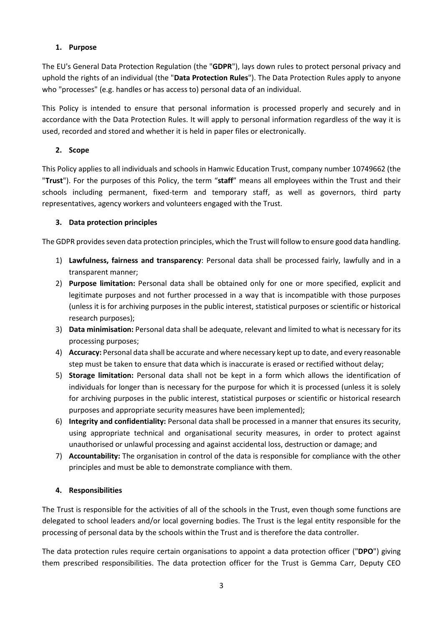## <span id="page-2-0"></span>**1. Purpose**

The EU's General Data Protection Regulation (the "**GDPR**"), lays down rules to protect personal privacy and uphold the rights of an individual (the "**Data Protection Rules**"). The Data Protection Rules apply to anyone who "processes" (e.g. handles or has access to) personal data of an individual.

This Policy is intended to ensure that personal information is processed properly and securely and in accordance with the Data Protection Rules. It will apply to personal information regardless of the way it is used, recorded and stored and whether it is held in paper files or electronically.

# <span id="page-2-1"></span>**2. Scope**

This Policy applies to all individuals and schools in Hamwic Education Trust, company number 10749662 (the "**Trust**"). For the purposes of this Policy, the term "**staff**" means all employees within the Trust and their schools including permanent, fixed-term and temporary staff, as well as governors, third party representatives, agency workers and volunteers engaged with the Trust.

# <span id="page-2-2"></span>**3. Data protection principles**

The GDPR provides seven data protection principles, which the Trust will follow to ensure good data handling.

- 1) **Lawfulness, fairness and transparency**: Personal data shall be processed fairly, lawfully and in a transparent manner;
- 2) **Purpose limitation:** Personal data shall be obtained only for one or more specified, explicit and legitimate purposes and not further processed in a way that is incompatible with those purposes (unless it is for archiving purposes in the public interest, statistical purposes or scientific or historical research purposes);
- 3) **Data minimisation:** Personal data shall be adequate, relevant and limited to what is necessary for its processing purposes;
- 4) **Accuracy:** Personal data shall be accurate and where necessary kept up to date, and every reasonable step must be taken to ensure that data which is inaccurate is erased or rectified without delay;
- 5) **Storage limitation:** Personal data shall not be kept in a form which allows the identification of individuals for longer than is necessary for the purpose for which it is processed (unless it is solely for archiving purposes in the public interest, statistical purposes or scientific or historical research purposes and appropriate security measures have been implemented);
- 6) **Integrity and confidentiality:** Personal data shall be processed in a manner that ensures its security, using appropriate technical and organisational security measures, in order to protect against unauthorised or unlawful processing and against accidental loss, destruction or damage; and
- 7) **Accountability:** The organisation in control of the data is responsible for compliance with the other principles and must be able to demonstrate compliance with them.

# <span id="page-2-3"></span>**4. Responsibilities**

The Trust is responsible for the activities of all of the schools in the Trust, even though some functions are delegated to school leaders and/or local governing bodies. The Trust is the legal entity responsible for the processing of personal data by the schools within the Trust and is therefore the data controller.

The data protection rules require certain organisations to appoint a data protection officer ("**DPO**") giving them prescribed responsibilities. The data protection officer for the Trust is Gemma Carr, Deputy CEO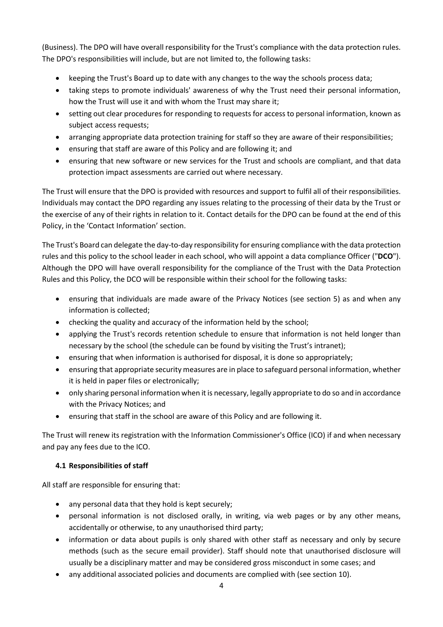(Business). The DPO will have overall responsibility for the Trust's compliance with the data protection rules. The DPO's responsibilities will include, but are not limited to, the following tasks:

- keeping the Trust's Board up to date with any changes to the way the schools process data;
- taking steps to promote individuals' awareness of why the Trust need their personal information, how the Trust will use it and with whom the Trust may share it;
- setting out clear procedures for responding to requests for access to personal information, known as subject access requests;
- arranging appropriate data protection training for staff so they are aware of their responsibilities;
- ensuring that staff are aware of this Policy and are following it; and
- ensuring that new software or new services for the Trust and schools are compliant, and that data protection impact assessments are carried out where necessary.

The Trust will ensure that the DPO is provided with resources and support to fulfil all of their responsibilities. Individuals may contact the DPO regarding any issues relating to the processing of their data by the Trust or the exercise of any of their rights in relation to it. Contact details for the DPO can be found at the end of this Policy, in the 'Contact Information' section.

The Trust's Board can delegate the day-to-day responsibility for ensuring compliance with the data protection rules and this policy to the school leader in each school, who will appoint a data compliance Officer ("**DCO**"). Although the DPO will have overall responsibility for the compliance of the Trust with the Data Protection Rules and this Policy, the DCO will be responsible within their school for the following tasks:

- ensuring that individuals are made aware of the Privacy Notices (see section [5\)](#page-4-0) as and when any information is collected;
- checking the quality and accuracy of the information held by the school;
- applying the Trust's records retention schedule to ensure that information is not held longer than necessary by the school (the schedule can be found by visiting the Trust's intranet);
- ensuring that when information is authorised for disposal, it is done so appropriately;
- ensuring that appropriate security measures are in place to safeguard personal information, whether it is held in paper files or electronically;
- only sharing personal information when it is necessary, legally appropriate to do so and in accordance with the Privacy Notices; and
- ensuring that staff in the school are aware of this Policy and are following it.

The Trust will renew its registration with the Information Commissioner's Office (ICO) if and when necessary and pay any fees due to the ICO.

### <span id="page-3-0"></span>**4.1 Responsibilities of staff**

All staff are responsible for ensuring that:

- any personal data that they hold is kept securely;
- personal information is not disclosed orally, in writing, via web pages or by any other means, accidentally or otherwise, to any unauthorised third party;
- information or data about pupils is only shared with other staff as necessary and only by secure methods (such as the secure email provider). Staff should note that unauthorised disclosure will usually be a disciplinary matter and may be considered gross misconduct in some cases; and
- any additional associated policies and documents are complied with (see section [10\)](#page-6-2).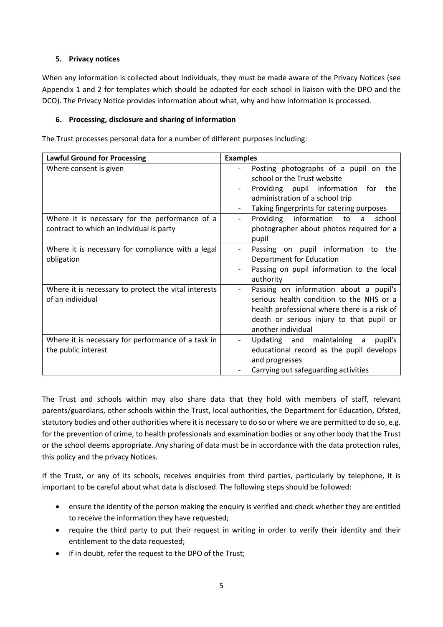## <span id="page-4-0"></span>**5. Privacy notices**

When any information is collected about individuals, they must be made aware of the Privacy Notices (see Appendix 1 and 2 for templates which should be adapted for each school in liaison with the DPO and the DCO). The Privacy Notice provides information about what, why and how information is processed.

## <span id="page-4-1"></span>**6. Processing, disclosure and sharing of information**

The Trust processes personal data for a number of different purposes including:

| <b>Lawful Ground for Processing</b>                                                        | <b>Examples</b>                                                                                                                                                                                      |
|--------------------------------------------------------------------------------------------|------------------------------------------------------------------------------------------------------------------------------------------------------------------------------------------------------|
| Where consent is given                                                                     | Posting photographs of a pupil on the<br>school or the Trust website<br>Providing pupil information<br>for<br>the<br>administration of a school trip<br>Taking fingerprints for catering purposes    |
| Where it is necessary for the performance of a<br>contract to which an individual is party | information<br>Providing<br>school<br>to<br>a<br>$\overline{\phantom{0}}$<br>photographer about photos required for a<br>pupil                                                                       |
| Where it is necessary for compliance with a legal<br>obligation                            | Passing on pupil information to the<br>Department for Education<br>Passing on pupil information to the local<br>authority                                                                            |
| Where it is necessary to protect the vital interests<br>of an individual                   | Passing on information about a pupil's<br>serious health condition to the NHS or a<br>health professional where there is a risk of<br>death or serious injury to that pupil or<br>another individual |
| Where it is necessary for performance of a task in<br>the public interest                  | Updating and maintaining<br>$\overline{a}$<br>pupil's<br>educational record as the pupil develops<br>and progresses<br>Carrying out safeguarding activities                                          |

The Trust and schools within may also share data that they hold with members of staff, relevant parents/guardians, other schools within the Trust, local authorities, the Department for Education, Ofsted, statutory bodies and other authorities where it is necessary to do so or where we are permitted to do so, e.g. for the prevention of crime, to health professionals and examination bodies or any other body that the Trust or the school deems appropriate. Any sharing of data must be in accordance with the data protection rules, this policy and the privacy Notices.

If the Trust, or any of its schools, receives enquiries from third parties, particularly by telephone, it is important to be careful about what data is disclosed. The following steps should be followed:

- ensure the identity of the person making the enquiry is verified and check whether they are entitled to receive the information they have requested;
- require the third party to put their request in writing in order to verify their identity and their entitlement to the data requested;
- if in doubt, refer the request to the DPO of the Trust;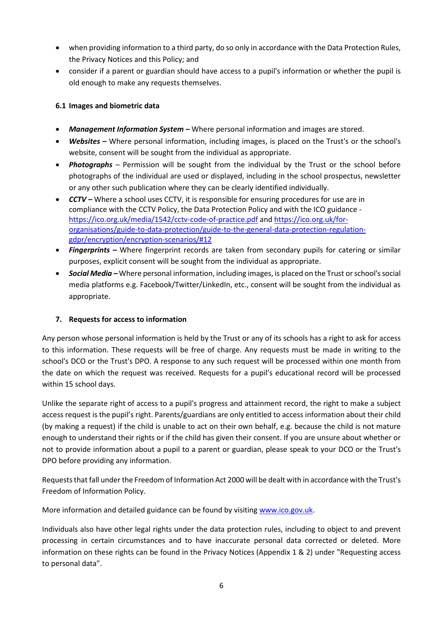- when providing information to a third party, do so only in accordance with the Data Protection Rules, the Privacy Notices and this Policy; and
- consider if a parent or guardian should have access to a pupil's information or whether the pupil is old enough to make any requests themselves.

# <span id="page-5-0"></span>**6.1 Images and biometric data**

- *Management Information System –* Where personal information and images are stored.
- *Websites –* Where personal information, including images, is placed on the Trust's or the school's website, consent will be sought from the individual as appropriate.
- *Photographs* Permission will be sought from the individual by the Trust or the school before photographs of the individual are used or displayed, including in the school prospectus, newsletter or any other such publication where they can be clearly identified individually.
- **CCTV** Where a school uses CCTV, it is responsible for ensuring procedures for use are in compliance with the CCTV Policy, the Data Protection Policy and with the ICO guidance <https://ico.org.uk/media/1542/cctv-code-of-practice.pdf> an[d https://ico.org.uk/for](https://ico.org.uk/for-organisations/guide-to-data-protection/guide-to-the-general-data-protection-regulation-gdpr/encryption/encryption-scenarios/#12)[organisations/guide-to-data-protection/guide-to-the-general-data-protection-regulation](https://ico.org.uk/for-organisations/guide-to-data-protection/guide-to-the-general-data-protection-regulation-gdpr/encryption/encryption-scenarios/#12)[gdpr/encryption/encryption-scenarios/#12](https://ico.org.uk/for-organisations/guide-to-data-protection/guide-to-the-general-data-protection-regulation-gdpr/encryption/encryption-scenarios/#12)
- *Fingerprints –* Where fingerprint records are taken from secondary pupils for catering or similar purposes, explicit consent will be sought from the individual as appropriate.
- *Social Media –* Where personal information, including images, is placed on the Trust or school's social media platforms e.g. Facebook/Twitter/LinkedIn, etc., consent will be sought from the individual as appropriate.

# <span id="page-5-1"></span>**7. Requests for access to information**

Any person whose personal information is held by the Trust or any of its schools has a right to ask for access to this information. These requests will be free of charge. Any requests must be made in writing to the school's DCO or the Trust's DPO. A response to any such request will be processed within one month from the date on which the request was received. Requests for a pupil's educational record will be processed within 15 school days.

Unlike the separate right of access to a pupil's progress and attainment record, the right to make a subject access request is the pupil's right. Parents/guardians are only entitled to access information about their child (by making a request) if the child is unable to act on their own behalf, e.g. because the child is not mature enough to understand their rights or if the child has given their consent. If you are unsure about whether or not to provide information about a pupil to a parent or guardian, please speak to your DCO or the Trust's DPO before providing any information.

Requests that fall under the Freedom of Information Act 2000 will be dealt with in accordance with the Trust's Freedom of Information Policy.

More information and detailed guidance can be found by visitin[g www.ico.gov.uk.](http://www.ico.gov.uk/)

Individuals also have other legal rights under the data protection rules, including to object to and prevent processing in certain circumstances and to have inaccurate personal data corrected or deleted. More information on these rights can be found in the Privacy Notices (Appendix 1 & 2) under "Requesting access to personal data".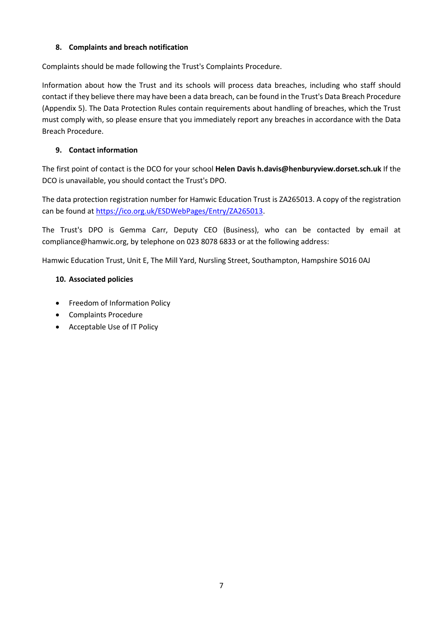# <span id="page-6-0"></span>**8. Complaints and breach notification**

Complaints should be made following the Trust's Complaints Procedure.

Information about how the Trust and its schools will process data breaches, including who staff should contact if they believe there may have been a data breach, can be found in the Trust's Data Breach Procedure (Appendix 5). The Data Protection Rules contain requirements about handling of breaches, which the Trust must comply with, so please ensure that you immediately report any breaches in accordance with the Data Breach Procedure.

# <span id="page-6-1"></span>**9. Contact information**

The first point of contact is the DCO for your school **Helen Davis h.davis@henburyview.dorset.sch.uk** If the DCO is unavailable, you should contact the Trust's DPO.

The data protection registration number for Hamwic Education Trust is ZA265013. A copy of the registration can be found at [https://ico.org.uk/ESDWebPages/Entry/ZA265013.](https://ico.org.uk/ESDWebPages/Entry/ZA265013)

The Trust's DPO is Gemma Carr, Deputy CEO (Business), who can be contacted by email at compliance@hamwic.org, by telephone on 023 8078 6833 or at the following address:

Hamwic Education Trust, Unit E, The Mill Yard, Nursling Street, Southampton, Hampshire SO16 0AJ

### <span id="page-6-2"></span>**10. Associated policies**

- Freedom of Information Policy
- Complaints Procedure
- Acceptable Use of IT Policy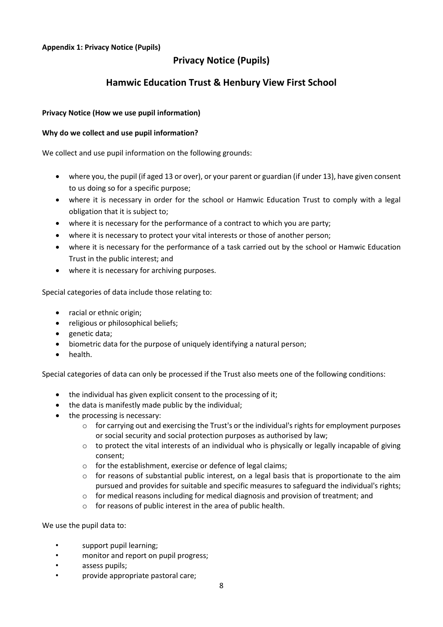# **Privacy Notice (Pupils)**

# **Hamwic Education Trust & Henbury View First School**

### <span id="page-7-0"></span>**Privacy Notice (How we use pupil information)**

### **Why do we collect and use pupil information?**

We collect and use pupil information on the following grounds:

- where you, the pupil (if aged 13 or over), or your parent or guardian (if under 13), have given consent to us doing so for a specific purpose;
- where it is necessary in order for the school or Hamwic Education Trust to comply with a legal obligation that it is subject to;
- where it is necessary for the performance of a contract to which you are party;
- where it is necessary to protect your vital interests or those of another person;
- where it is necessary for the performance of a task carried out by the school or Hamwic Education Trust in the public interest; and
- where it is necessary for archiving purposes.

Special categories of data include those relating to:

- racial or ethnic origin;
- religious or philosophical beliefs:
- genetic data;
- biometric data for the purpose of uniquely identifying a natural person;
- health.

Special categories of data can only be processed if the Trust also meets one of the following conditions:

- the individual has given explicit consent to the processing of it;
- the data is manifestly made public by the individual;
- the processing is necessary:
	- $\circ$  for carrying out and exercising the Trust's or the individual's rights for employment purposes or social security and social protection purposes as authorised by law;
	- o to protect the vital interests of an individual who is physically or legally incapable of giving consent;
	- o for the establishment, exercise or defence of legal claims;
	- o for reasons of substantial public interest, on a legal basis that is proportionate to the aim pursued and provides for suitable and specific measures to safeguard the individual's rights;
	- $\circ$  for medical reasons including for medical diagnosis and provision of treatment; and
	- o for reasons of public interest in the area of public health.

We use the pupil data to:

- support pupil learning;
- monitor and report on pupil progress;
- assess pupils;
- provide appropriate pastoral care;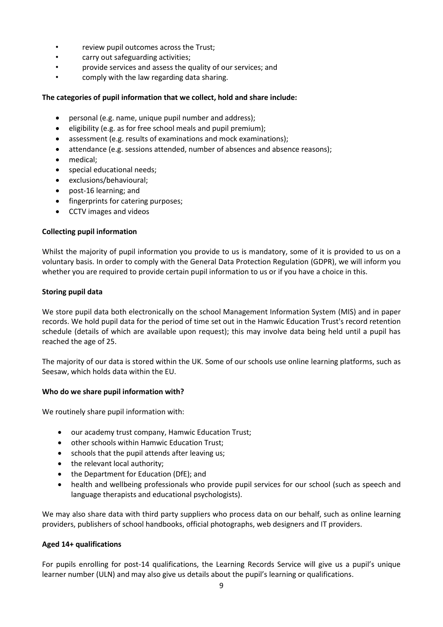- review pupil outcomes across the Trust;
- carry out safeguarding activities;
- provide services and assess the quality of our services; and
- comply with the law regarding data sharing.

### **The categories of pupil information that we collect, hold and share include:**

- personal (e.g. name, unique pupil number and address);
- eligibility (e.g. as for free school meals and pupil premium);
- assessment (e.g. results of examinations and mock examinations);
- attendance (e.g. sessions attended, number of absences and absence reasons);
- medical;
- special educational needs;
- exclusions/behavioural;
- post-16 learning; and
- fingerprints for catering purposes;
- CCTV images and videos

### **Collecting pupil information**

Whilst the majority of pupil information you provide to us is mandatory, some of it is provided to us on a voluntary basis. In order to comply with the General Data Protection Regulation (GDPR), we will inform you whether you are required to provide certain pupil information to us or if you have a choice in this.

### **Storing pupil data**

We store pupil data both electronically on the school Management Information System (MIS) and in paper records. We hold pupil data for the period of time set out in the Hamwic Education Trust's record retention schedule (details of which are available upon request); this may involve data being held until a pupil has reached the age of 25.

The majority of our data is stored within the UK. Some of our schools use online learning platforms, such as Seesaw, which holds data within the EU.

### **Who do we share pupil information with?**

We routinely share pupil information with:

- our academy trust company, Hamwic Education Trust;
- other schools within Hamwic Education Trust;
- schools that the pupil attends after leaving us:
- the relevant local authority;
- the Department for Education (DfE); and
- health and wellbeing professionals who provide pupil services for our school (such as speech and language therapists and educational psychologists).

We may also share data with third party suppliers who process data on our behalf, such as online learning providers, publishers of school handbooks, official photographs, web designers and IT providers.

### **Aged 14+ qualifications**

For pupils enrolling for post-14 qualifications, the Learning Records Service will give us a pupil's unique learner number (ULN) and may also give us details about the pupil's learning or qualifications.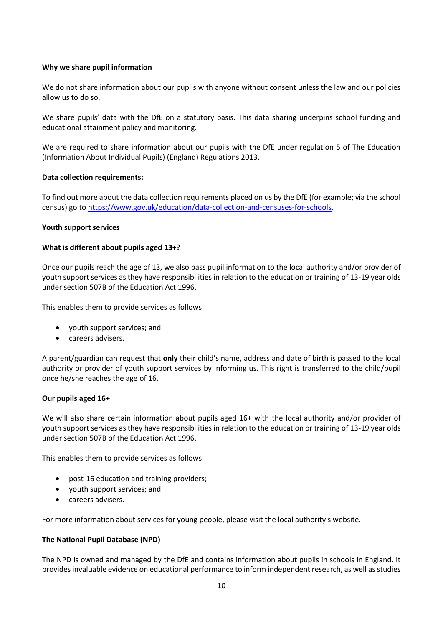### **Why we share pupil information**

We do not share information about our pupils with anyone without consent unless the law and our policies allow us to do so.

We share pupils' data with the DfE on a statutory basis. This data sharing underpins school funding and educational attainment policy and monitoring.

We are required to share information about our pupils with the DfE under regulation 5 of The Education (Information About Individual Pupils) (England) Regulations 2013.

### **Data collection requirements:**

To find out more about the data collection requirements placed on us by the DfE (for example; via the school census) go to [https://www.gov.uk/education/data-collection-and-censuses-for-schools.](https://www.gov.uk/education/data-collection-and-censuses-for-schools)

### **Youth support services**

### **What is different about pupils aged 13+?**

Once our pupils reach the age of 13, we also pass pupil information to the local authority and/or provider of youth support services as they have responsibilities in relation to the education or training of 13-19 year olds under section 507B of the Education Act 1996.

This enables them to provide services as follows:

- youth support services; and
- careers advisers.

A parent/guardian can request that **only** their child's name, address and date of birth is passed to the local authority or provider of youth support services by informing us. This right is transferred to the child/pupil once he/she reaches the age of 16.

### **Our pupils aged 16+**

We will also share certain information about pupils aged 16+ with the local authority and/or provider of youth support services as they have responsibilities in relation to the education or training of 13-19 year olds under section 507B of the Education Act 1996.

This enables them to provide services as follows:

- post-16 education and training providers;
- youth support services; and
- careers advisers.

For more information about services for young people, please visit the local authority's website.

### **The National Pupil Database (NPD)**

The NPD is owned and managed by the DfE and contains information about pupils in schools in England. It provides invaluable evidence on educational performance to inform independent research, as well as studies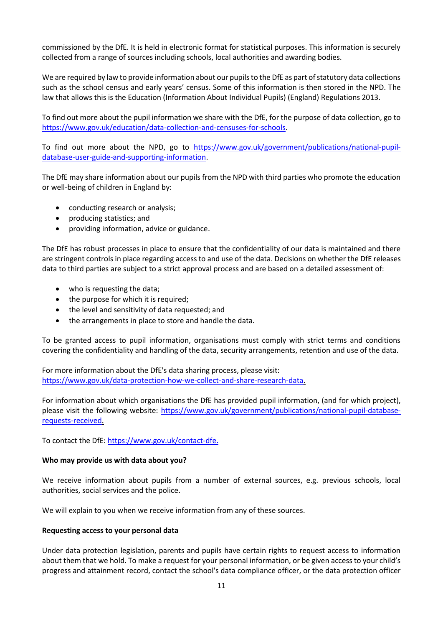commissioned by the DfE. It is held in electronic format for statistical purposes. This information is securely collected from a range of sources including schools, local authorities and awarding bodies.

We are required by law to provide information about our pupils to the DfE as part of statutory data collections such as the school census and early years' census. Some of this information is then stored in the NPD. The law that allows this is the Education (Information About Individual Pupils) (England) Regulations 2013.

To find out more about the pupil information we share with the DfE, for the purpose of data collection, go to [https://www.gov.uk/education/data-collection-and-censuses-for-schools.](https://www.gov.uk/education/data-collection-and-censuses-for-schools)

To find out more about the NPD, go to [https://www.gov.uk/government/publications/national-pupil](https://www.gov.uk/government/publications/national-pupil-database-user-guide-and-supporting-information)[database-user-guide-and-supporting-information.](https://www.gov.uk/government/publications/national-pupil-database-user-guide-and-supporting-information)

The DfE may share information about our pupils from the NPD with third parties who promote the education or well-being of children in England by:

- conducting research or analysis;
- producing statistics; and
- providing information, advice or guidance.

The DfE has robust processes in place to ensure that the confidentiality of our data is maintained and there are stringent controls in place regarding access to and use of the data. Decisions on whether the DfE releases data to third parties are subject to a strict approval process and are based on a detailed assessment of:

- who is requesting the data;
- the purpose for which it is required;
- the level and sensitivity of data requested; and
- the arrangements in place to store and handle the data.

To be granted access to pupil information, organisations must comply with strict terms and conditions covering the confidentiality and handling of the data, security arrangements, retention and use of the data.

For more information about the DfE's data sharing process, please visit: [https://www.gov.uk/data-protection-how-we-collect-and-share-research-data.](https://www.gov.uk/data-protection-how-we-collect-and-share-research-data)

For information about which organisations the DfE has provided pupil information, (and for which project), please visit the following website: [https://www.gov.uk/government/publications/national-pupil-database](https://www.gov.uk/government/publications/national-pupil-database-requests-received)[requests-received.](https://www.gov.uk/government/publications/national-pupil-database-requests-received)

To contact the DfE[: https://www.gov.uk/contact-dfe.](https://www.gov.uk/contact-dfe)

### **Who may provide us with data about you?**

We receive information about pupils from a number of external sources, e.g. previous schools, local authorities, social services and the police.

We will explain to you when we receive information from any of these sources.

### **Requesting access to your personal data**

Under data protection legislation, parents and pupils have certain rights to request access to information about them that we hold. To make a request for your personal information, or be given access to your child's progress and attainment record, contact the school's data compliance officer, or the data protection officer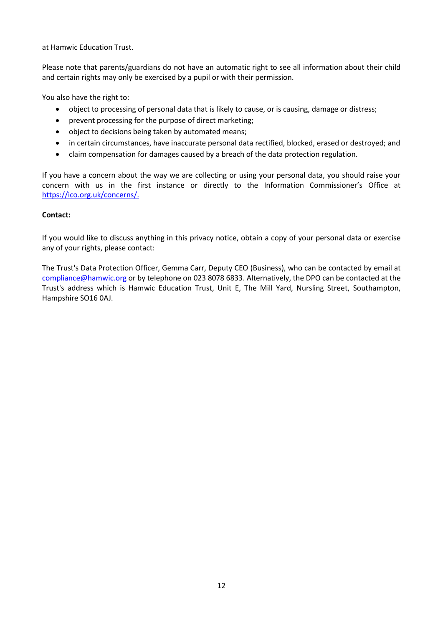at Hamwic Education Trust.

Please note that parents/guardians do not have an automatic right to see all information about their child and certain rights may only be exercised by a pupil or with their permission.

You also have the right to:

- object to processing of personal data that is likely to cause, or is causing, damage or distress;
- prevent processing for the purpose of direct marketing;
- object to decisions being taken by automated means;
- in certain circumstances, have inaccurate personal data rectified, blocked, erased or destroyed; and
- claim compensation for damages caused by a breach of the data protection regulation.

If you have a concern about the way we are collecting or using your personal data, you should raise your concern with us in the first instance or directly to the Information Commissioner's Office at [https://ico.org.uk/concerns/.](https://ico.org.uk/concerns/)

### **Contact:**

If you would like to discuss anything in this privacy notice, obtain a copy of your personal data or exercise any of your rights, please contact:

The Trust's Data Protection Officer, Gemma Carr, Deputy CEO (Business), who can be contacted by email at [compliance@hamwic.org](mailto:compliance@hamwic.org) or by telephone on 023 8078 6833. Alternatively, the DPO can be contacted at the Trust's address which is Hamwic Education Trust, Unit E, The Mill Yard, Nursling Street, Southampton, Hampshire SO16 0AJ.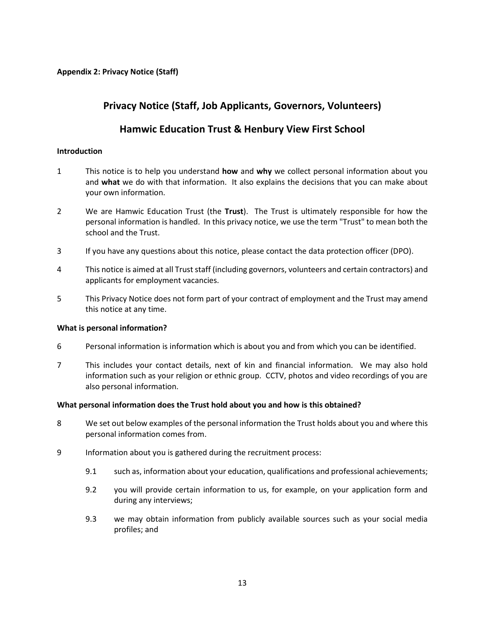# <span id="page-12-0"></span>**Privacy Notice (Staff, Job Applicants, Governors, Volunteers)**

# **Hamwic Education Trust & Henbury View First School**

### **Introduction**

- 1 This notice is to help you understand **how** and **why** we collect personal information about you and **what** we do with that information. It also explains the decisions that you can make about your own information.
- 2 We are Hamwic Education Trust (the **Trust**). The Trust is ultimately responsible for how the personal information is handled. In this privacy notice, we use the term "Trust" to mean both the school and the Trust.
- 3 If you have any questions about this notice, please contact the data protection officer (DPO).
- 4 This notice is aimed at all Trust staff (including governors, volunteers and certain contractors) and applicants for employment vacancies.
- 5 This Privacy Notice does not form part of your contract of employment and the Trust may amend this notice at any time.

### **What is personal information?**

- 6 Personal information is information which is about you and from which you can be identified.
- 7 This includes your contact details, next of kin and financial information. We may also hold information such as your religion or ethnic group. CCTV, photos and video recordings of you are also personal information.

### **What personal information does the Trust hold about you and how is this obtained?**

- 8 We set out below examples of the personal information the Trust holds about you and where this personal information comes from.
- 9 Information about you is gathered during the recruitment process:
	- 9.1 such as, information about your education, qualifications and professional achievements;
	- 9.2 you will provide certain information to us, for example, on your application form and during any interviews;
	- 9.3 we may obtain information from publicly available sources such as your social media profiles; and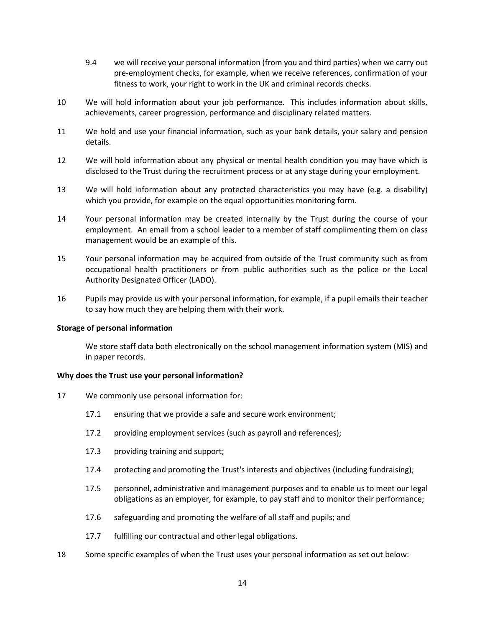- 9.4 we will receive your personal information (from you and third parties) when we carry out pre-employment checks, for example, when we receive references, confirmation of your fitness to work, your right to work in the UK and criminal records checks.
- 10 We will hold information about your job performance. This includes information about skills, achievements, career progression, performance and disciplinary related matters.
- 11 We hold and use your financial information, such as your bank details, your salary and pension details.
- 12 We will hold information about any physical or mental health condition you may have which is disclosed to the Trust during the recruitment process or at any stage during your employment.
- 13 We will hold information about any protected characteristics you may have (e.g. a disability) which you provide, for example on the equal opportunities monitoring form.
- 14 Your personal information may be created internally by the Trust during the course of your employment. An email from a school leader to a member of staff complimenting them on class management would be an example of this.
- 15 Your personal information may be acquired from outside of the Trust community such as from occupational health practitioners or from public authorities such as the police or the Local Authority Designated Officer (LADO).
- 16 Pupils may provide us with your personal information, for example, if a pupil emails their teacher to say how much they are helping them with their work.

#### **Storage of personal information**

We store staff data both electronically on the school management information system (MIS) and in paper records.

#### **Why does the Trust use your personal information?**

- 17 We commonly use personal information for:
	- 17.1 ensuring that we provide a safe and secure work environment;
	- 17.2 providing employment services (such as payroll and references);
	- 17.3 providing training and support;
	- 17.4 protecting and promoting the Trust's interests and objectives (including fundraising);
	- 17.5 personnel, administrative and management purposes and to enable us to meet our legal obligations as an employer, for example, to pay staff and to monitor their performance;
	- 17.6 safeguarding and promoting the welfare of all staff and pupils; and
	- 17.7 fulfilling our contractual and other legal obligations.
- 18 Some specific examples of when the Trust uses your personal information as set out below: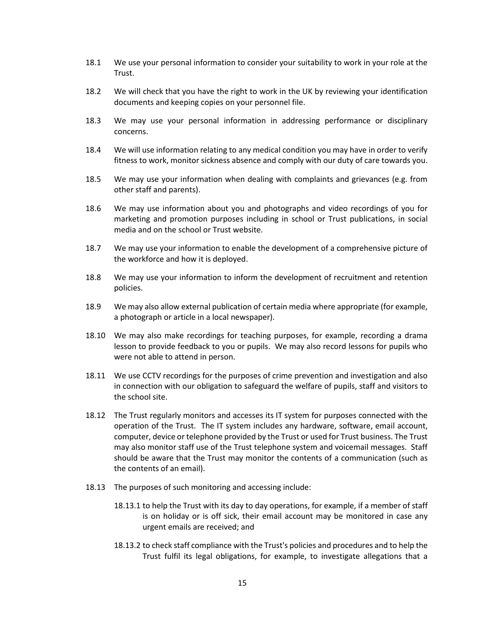- 18.1 We use your personal information to consider your suitability to work in your role at the Trust.
- 18.2 We will check that you have the right to work in the UK by reviewing your identification documents and keeping copies on your personnel file.
- 18.3 We may use your personal information in addressing performance or disciplinary concerns.
- 18.4 We will use information relating to any medical condition you may have in order to verify fitness to work, monitor sickness absence and comply with our duty of care towards you.
- 18.5 We may use your information when dealing with complaints and grievances (e.g. from other staff and parents).
- 18.6 We may use information about you and photographs and video recordings of you for marketing and promotion purposes including in school or Trust publications, in social media and on the school or Trust website.
- 18.7 We may use your information to enable the development of a comprehensive picture of the workforce and how it is deployed.
- 18.8 We may use your information to inform the development of recruitment and retention policies.
- 18.9 We may also allow external publication of certain media where appropriate (for example, a photograph or article in a local newspaper).
- 18.10 We may also make recordings for teaching purposes, for example, recording a drama lesson to provide feedback to you or pupils. We may also record lessons for pupils who were not able to attend in person.
- 18.11 We use CCTV recordings for the purposes of crime prevention and investigation and also in connection with our obligation to safeguard the welfare of pupils, staff and visitors to the school site.
- 18.12 The Trust regularly monitors and accesses its IT system for purposes connected with the operation of the Trust. The IT system includes any hardware, software, email account, computer, device or telephone provided by the Trust or used for Trust business. The Trust may also monitor staff use of the Trust telephone system and voicemail messages. Staff should be aware that the Trust may monitor the contents of a communication (such as the contents of an email).
- 18.13 The purposes of such monitoring and accessing include:
	- 18.13.1 to help the Trust with its day to day operations, for example, if a member of staff is on holiday or is off sick, their email account may be monitored in case any urgent emails are received; and
	- 18.13.2 to check staff compliance with the Trust's policies and procedures and to help the Trust fulfil its legal obligations, for example, to investigate allegations that a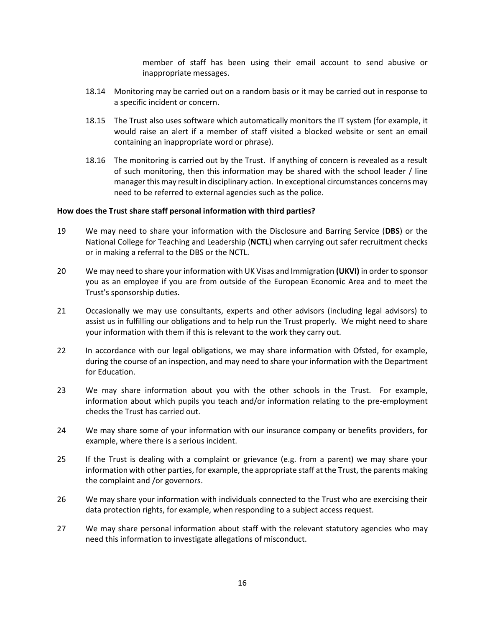member of staff has been using their email account to send abusive or inappropriate messages.

- 18.14 Monitoring may be carried out on a random basis or it may be carried out in response to a specific incident or concern.
- 18.15 The Trust also uses software which automatically monitors the IT system (for example, it would raise an alert if a member of staff visited a blocked website or sent an email containing an inappropriate word or phrase).
- 18.16 The monitoring is carried out by the Trust. If anything of concern is revealed as a result of such monitoring, then this information may be shared with the school leader / line manager this may result in disciplinary action. In exceptional circumstances concerns may need to be referred to external agencies such as the police.

#### **How does the Trust share staff personal information with third parties?**

- 19 We may need to share your information with the Disclosure and Barring Service (**DBS**) or the National College for Teaching and Leadership (**NCTL**) when carrying out safer recruitment checks or in making a referral to the DBS or the NCTL.
- 20 We may need to share your information with UK Visas and Immigration **(UKVI)** in order to sponsor you as an employee if you are from outside of the European Economic Area and to meet the Trust's sponsorship duties.
- 21 Occasionally we may use consultants, experts and other advisors (including legal advisors) to assist us in fulfilling our obligations and to help run the Trust properly. We might need to share your information with them if this is relevant to the work they carry out.
- 22 In accordance with our legal obligations, we may share information with Ofsted, for example, during the course of an inspection, and may need to share your information with the Department for Education.
- 23 We may share information about you with the other schools in the Trust. For example, information about which pupils you teach and/or information relating to the pre-employment checks the Trust has carried out.
- 24 We may share some of your information with our insurance company or benefits providers, for example, where there is a serious incident.
- 25 If the Trust is dealing with a complaint or grievance (e.g. from a parent) we may share your information with other parties, for example, the appropriate staff at the Trust, the parents making the complaint and /or governors.
- 26 We may share your information with individuals connected to the Trust who are exercising their data protection rights, for example, when responding to a subject access request.
- 27 We may share personal information about staff with the relevant statutory agencies who may need this information to investigate allegations of misconduct.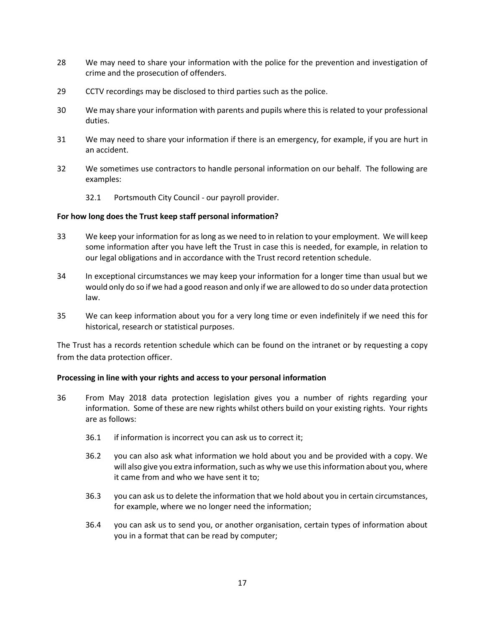- 28 We may need to share your information with the police for the prevention and investigation of crime and the prosecution of offenders.
- 29 CCTV recordings may be disclosed to third parties such as the police.
- 30 We may share your information with parents and pupils where this is related to your professional duties.
- 31 We may need to share your information if there is an emergency, for example, if you are hurt in an accident.
- 32 We sometimes use contractors to handle personal information on our behalf. The following are examples:
	- 32.1 Portsmouth City Council our payroll provider.

#### **For how long does the Trust keep staff personal information?**

- 33 We keep your information for as long as we need to in relation to your employment. We will keep some information after you have left the Trust in case this is needed, for example, in relation to our legal obligations and in accordance with the Trust record retention schedule.
- 34 In exceptional circumstances we may keep your information for a longer time than usual but we would only do so if we had a good reason and only if we are allowed to do so under data protection law.
- 35 We can keep information about you for a very long time or even indefinitely if we need this for historical, research or statistical purposes.

The Trust has a records retention schedule which can be found on the intranet or by requesting a copy from the data protection officer.

#### **Processing in line with your rights and access to your personal information**

- 36 From May 2018 data protection legislation gives you a number of rights regarding your information. Some of these are new rights whilst others build on your existing rights. Your rights are as follows:
	- 36.1 if information is incorrect you can ask us to correct it;
	- 36.2 you can also ask what information we hold about you and be provided with a copy. We will also give you extra information, such as why we use this information about you, where it came from and who we have sent it to;
	- 36.3 you can ask us to delete the information that we hold about you in certain circumstances, for example, where we no longer need the information;
	- 36.4 you can ask us to send you, or another organisation, certain types of information about you in a format that can be read by computer;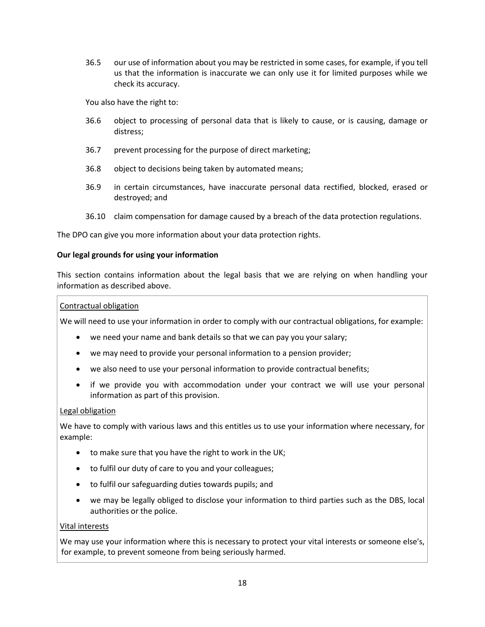36.5 our use of information about you may be restricted in some cases, for example, if you tell us that the information is inaccurate we can only use it for limited purposes while we check its accuracy.

You also have the right to:

- 36.6 object to processing of personal data that is likely to cause, or is causing, damage or distress;
- 36.7 prevent processing for the purpose of direct marketing;
- 36.8 object to decisions being taken by automated means;
- 36.9 in certain circumstances, have inaccurate personal data rectified, blocked, erased or destroyed; and
- 36.10 claim compensation for damage caused by a breach of the data protection regulations.

The DPO can give you more information about your data protection rights.

#### **Our legal grounds for using your information**

This section contains information about the legal basis that we are relying on when handling your information as described above.

#### Contractual obligation

We will need to use your information in order to comply with our contractual obligations, for example:

- we need your name and bank details so that we can pay you your salary;
- we may need to provide your personal information to a pension provider;
- we also need to use your personal information to provide contractual benefits;
- if we provide you with accommodation under your contract we will use your personal information as part of this provision.

#### Legal obligation

We have to comply with various laws and this entitles us to use your information where necessary, for example:

- to make sure that you have the right to work in the UK;
- to fulfil our duty of care to you and your colleagues;
- to fulfil our safeguarding duties towards pupils; and
- we may be legally obliged to disclose your information to third parties such as the DBS, local authorities or the police.

#### Vital interests

We may use your information where this is necessary to protect your vital interests or someone else's, for example, to prevent someone from being seriously harmed.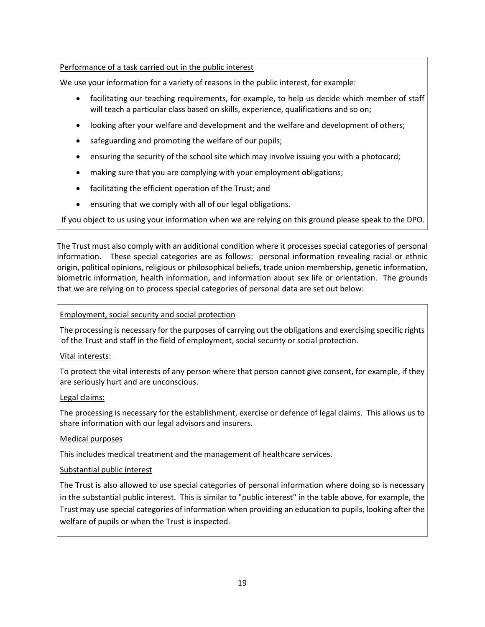## Performance of a task carried out in the public interest

We use your information for a variety of reasons in the public interest, for example:

- facilitating our teaching requirements, for example, to help us decide which member of staff will teach a particular class based on skills, experience, qualifications and so on;
- looking after your welfare and development and the welfare and development of others;
- safeguarding and promoting the welfare of our pupils;
- ensuring the security of the school site which may involve issuing you with a photocard;
- making sure that you are complying with your employment obligations;
- facilitating the efficient operation of the Trust; and
- ensuring that we comply with all of our legal obligations.

If you object to us using your information when we are relying on this ground please speak to the DPO.

The Trust must also comply with an additional condition where it processes special categories of personal information. These special categories are as follows: personal information revealing racial or ethnic origin, political opinions, religious or philosophical beliefs, trade union membership, genetic information, biometric information, health information, and information about sex life or orientation. The grounds that we are relying on to process special categories of personal data are set out below:

### Employment, social security and social protection

The processing is necessary for the purposes of carrying out the obligations and exercising specific rights of the Trust and staff in the field of employment, social security or social protection.

Vital interests:

To protect the vital interests of any person where that person cannot give consent, for example, if they are seriously hurt and are unconscious.

### Legal claims:

The processing is necessary for the establishment, exercise or defence of legal claims. This allows us to share information with our legal advisors and insurers.

### Medical purposes

This includes medical treatment and the management of healthcare services.

### Substantial public interest

The Trust is also allowed to use special categories of personal information where doing so is necessary in the substantial public interest. This is similar to "public interest" in the table above, for example, the Trust may use special categories of information when providing an education to pupils, looking after the welfare of pupils or when the Trust is inspected.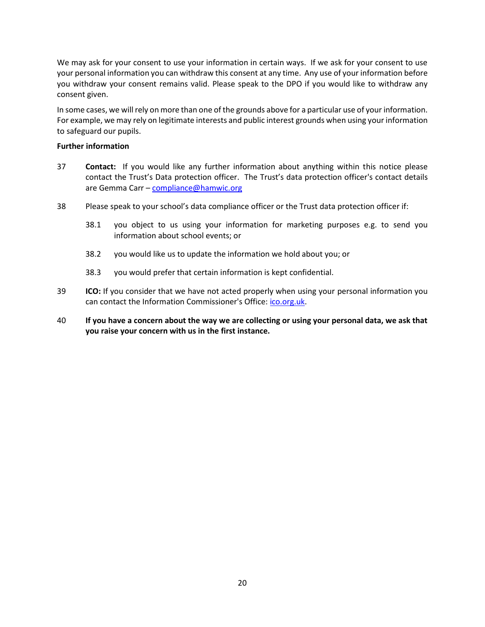We may ask for your consent to use your information in certain ways. If we ask for your consent to use your personal information you can withdraw this consent at any time. Any use of your information before you withdraw your consent remains valid. Please speak to the DPO if you would like to withdraw any consent given.

In some cases, we will rely on more than one of the grounds above for a particular use of your information. For example, we may rely on legitimate interests and public interest grounds when using your information to safeguard our pupils.

### **Further information**

- 37 **Contact:** If you would like any further information about anything within this notice please contact the Trust's Data protection officer. The Trust's data protection officer's contact details are Gemma Carr – [compliance@hamwic.org](mailto:compliance@hamwic.org)
- 38 Please speak to your school's data compliance officer or the Trust data protection officer if:
	- 38.1 you object to us using your information for marketing purposes e.g. to send you information about school events; or
	- 38.2 you would like us to update the information we hold about you; or
	- 38.3 you would prefer that certain information is kept confidential.
- 39 **ICO:** If you consider that we have not acted properly when using your personal information you can contact the Information Commissioner's Office: *[ico.org.uk.](https://ico.org.uk/)*
- 40 **If you have a concern about the way we are collecting or using your personal data, we ask that you raise your concern with us in the first instance.**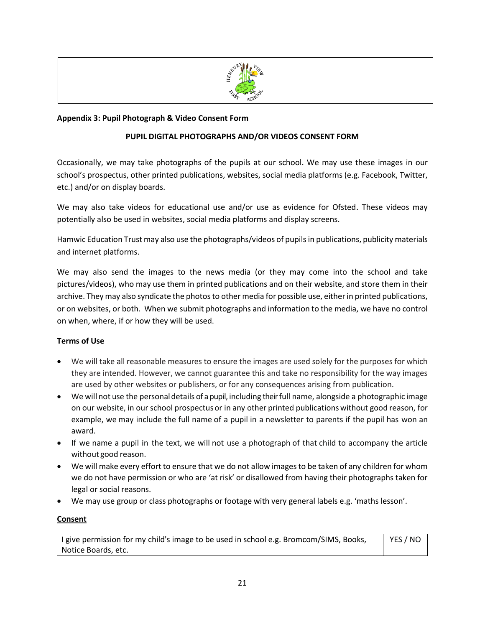

### <span id="page-20-0"></span>**Appendix 3: Pupil Photograph & Video Consent Form**

### **PUPIL DIGITAL PHOTOGRAPHS AND/OR VIDEOS CONSENT FORM**

Occasionally, we may take photographs of the pupils at our school. We may use these images in our school's prospectus, other printed publications, websites, social media platforms (e.g. Facebook, Twitter, etc.) and/or on display boards.

We may also take videos for educational use and/or use as evidence for Ofsted. These videos may potentially also be used in websites, social media platforms and display screens.

Hamwic Education Trust may also use the photographs/videos of pupils in publications, publicity materials and internet platforms.

We may also send the images to the news media (or they may come into the school and take pictures/videos), who may use them in printed publications and on their website, and store them in their archive. They may also syndicate the photos to other media for possible use, either in printed publications, or on websites, or both. When we submit photographs and information to the media, we have no control on when, where, if or how they will be used.

### **Terms of Use**

- We will take all reasonable measures to ensure the images are used solely for the purposes for which they are intended. However, we cannot guarantee this and take no responsibility for the way images are used by other websites or publishers, or for any consequences arising from publication.
- We will not use the personaldetails of a pupil, including their full name, alongside a photographic image on our website, in our school prospectusor in any other printed publications without good reason, for example, we may include the full name of a pupil in a newsletter to parents if the pupil has won an award.
- If we name a pupil in the text, we will not use a photograph of that child to accompany the article without good reason.
- We will make every effort to ensure that we do not allow images to be taken of any children for whom we do not have permission or who are 'at risk' or disallowed from having their photographs taken for legal or social reasons.
- We may use group or class photographs or footage with very general labels e.g. 'maths lesson'.

### **Consent**

I give permission for my child's image to be used in school e.g. Bromcom/SIMS, Books, Notice Boards, etc. YES / NO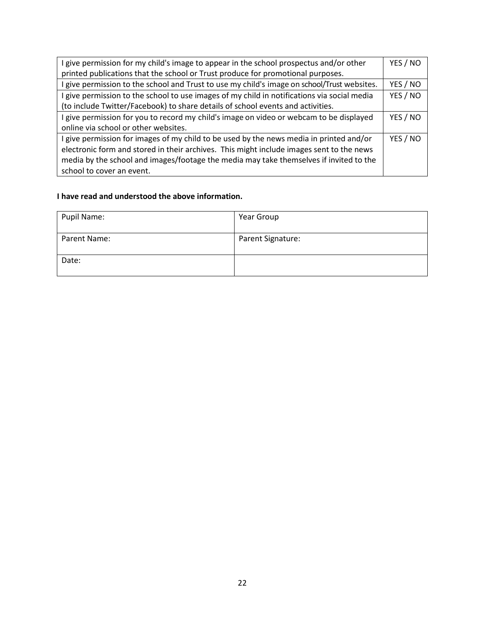| give permission for my child's image to appear in the school prospectus and/or other      | YES / NO |
|-------------------------------------------------------------------------------------------|----------|
| printed publications that the school or Trust produce for promotional purposes.           |          |
| give permission to the school and Trust to use my child's image on school/Trust websites. | YES / NO |
| give permission to the school to use images of my child in notifications via social media | YES / NO |
| (to include Twitter/Facebook) to share details of school events and activities.           |          |
| I give permission for you to record my child's image on video or webcam to be displayed   |          |
| online via school or other websites.                                                      |          |
| give permission for images of my child to be used by the news media in printed and/or     | YES / NO |
| electronic form and stored in their archives. This might include images sent to the news  |          |
| media by the school and images/footage the media may take themselves if invited to the    |          |
| school to cover an event.                                                                 |          |

### **I have read and understood the above information.**

| Pupil Name:  | Year Group        |
|--------------|-------------------|
| Parent Name: | Parent Signature: |
| Date:        |                   |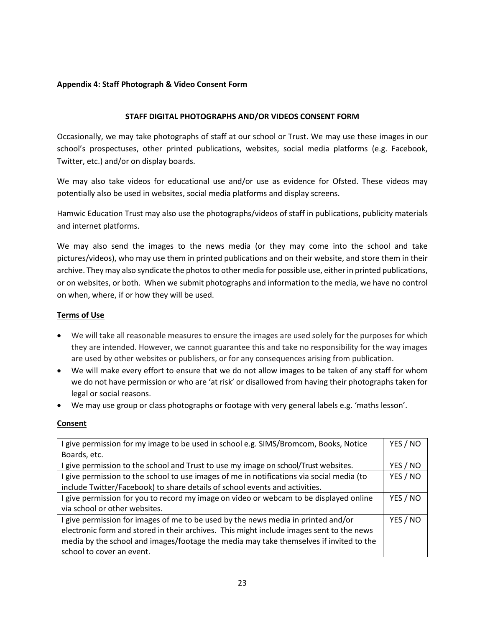### **Appendix 4: Staff Photograph & Video Consent Form**

### **STAFF DIGITAL PHOTOGRAPHS AND/OR VIDEOS CONSENT FORM**

<span id="page-22-0"></span>Occasionally, we may take photographs of staff at our school or Trust. We may use these images in our school's prospectuses, other printed publications, websites, social media platforms (e.g. Facebook, Twitter, etc.) and/or on display boards.

We may also take videos for educational use and/or use as evidence for Ofsted. These videos may potentially also be used in websites, social media platforms and display screens.

Hamwic Education Trust may also use the photographs/videos of staff in publications, publicity materials and internet platforms.

We may also send the images to the news media (or they may come into the school and take pictures/videos), who may use them in printed publications and on their website, and store them in their archive. They may also syndicate the photos to other media for possible use, either in printed publications, or on websites, or both. When we submit photographs and information to the media, we have no control on when, where, if or how they will be used.

### **Terms of Use**

- We will take all reasonable measures to ensure the images are used solely for the purposes for which they are intended. However, we cannot guarantee this and take no responsibility for the way images are used by other websites or publishers, or for any consequences arising from publication.
- We will make every effort to ensure that we do not allow images to be taken of any staff for whom we do not have permission or who are 'at risk' or disallowed from having their photographs taken for legal or social reasons.
- We may use group or class photographs or footage with very general labels e.g. 'maths lesson'.

### **Consent**

| I give permission for my image to be used in school e.g. SIMS/Bromcom, Books, Notice      | YES / NO |
|-------------------------------------------------------------------------------------------|----------|
| Boards, etc.                                                                              |          |
| I give permission to the school and Trust to use my image on school/Trust websites.       | YES / NO |
| I give permission to the school to use images of me in notifications via social media (to | YES / NO |
| include Twitter/Facebook) to share details of school events and activities.               |          |
| I give permission for you to record my image on video or webcam to be displayed online    | YES / NO |
| via school or other websites.                                                             |          |
| I give permission for images of me to be used by the news media in printed and/or         | YES / NO |
| electronic form and stored in their archives. This might include images sent to the news  |          |
| media by the school and images/footage the media may take themselves if invited to the    |          |
| school to cover an event.                                                                 |          |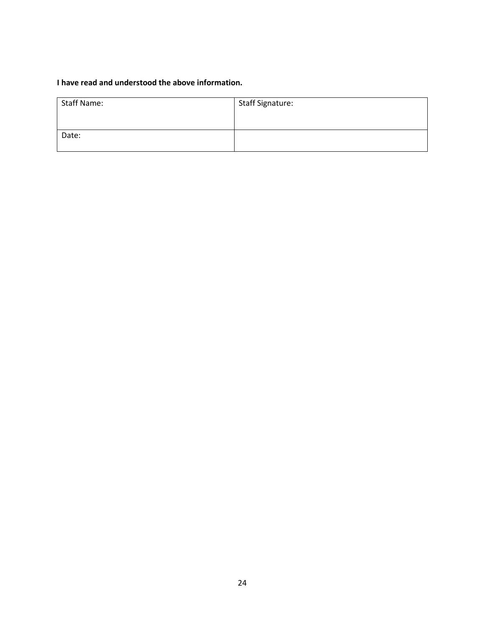# **I have read and understood the above information.**

| <b>Staff Name:</b> | <b>Staff Signature:</b> |
|--------------------|-------------------------|
|                    |                         |
| Date:              |                         |
|                    |                         |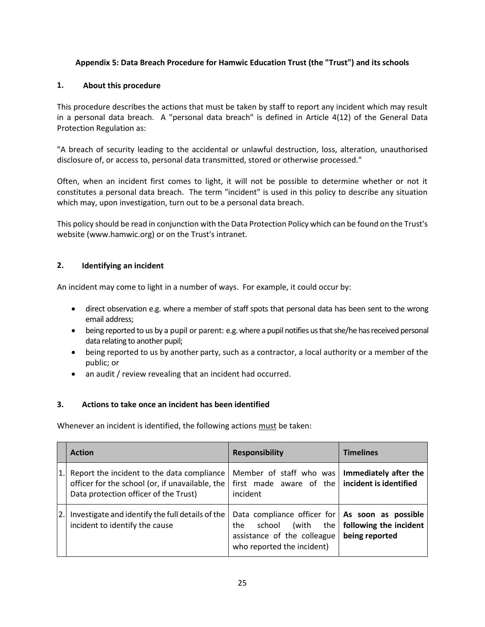### **Appendix 5: Data Breach Procedure for Hamwic Education Trust (the "Trust") and its schools**

### **1. About this procedure**

<span id="page-24-0"></span>This procedure describes the actions that must be taken by staff to report any incident which may result in a personal data breach. A "personal data breach" is defined in Article 4(12) of the General Data Protection Regulation as:

"A breach of security leading to the accidental or unlawful destruction, loss, alteration, unauthorised disclosure of, or access to, personal data transmitted, stored or otherwise processed."

Often, when an incident first comes to light, it will not be possible to determine whether or not it constitutes a personal data breach. The term "incident" is used in this policy to describe any situation which may, upon investigation, turn out to be a personal data breach.

This policy should be read in conjunction with the Data Protection Policy which can be found on the Trust's website [\(www.hamwic.org\)](http://www.hamwic.org/) or on the Trust's intranet.

### **2. Identifying an incident**

An incident may come to light in a number of ways. For example, it could occur by:

- direct observation e.g. where a member of staff spots that personal data has been sent to the wrong email address;
- being reported to us by a pupil or parent: e.g. where a pupil notifies us that she/he has received personal data relating to another pupil;
- being reported to us by another party, such as a contractor, a local authority or a member of the public; or
- an audit / review revealing that an incident had occurred.

### **3. Actions to take once an incident has been identified**

Whenever an incident is identified, the following actions must be taken:

|    | <b>Action</b>                                                                                                                          | <b>Responsibility</b>                                                                                                                    | <b>Timelines</b>                                |
|----|----------------------------------------------------------------------------------------------------------------------------------------|------------------------------------------------------------------------------------------------------------------------------------------|-------------------------------------------------|
| 1. | Report the incident to the data compliance<br>officer for the school (or, if unavailable, the<br>Data protection officer of the Trust) | Member of staff who was<br>first made aware of the<br>incident                                                                           | Immediately after the<br>incident is identified |
| 2. | Investigate and identify the full details of the<br>incident to identify the cause                                                     | Data compliance officer for   As soon as possible<br>school<br>(with<br>the<br>assistance of the colleague<br>who reported the incident) | the   following the incident<br>being reported  |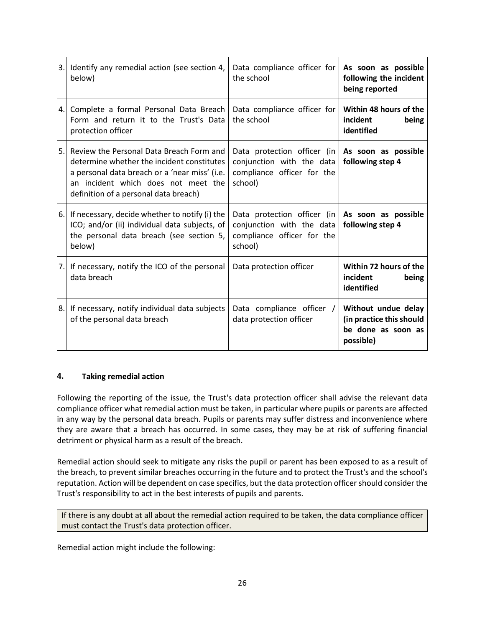| 3. | Identify any remedial action (see section 4,<br>below)                                                                                                                                                                  | Data compliance officer for<br>the school                                                         | As soon as possible<br>following the incident<br>being reported                    |
|----|-------------------------------------------------------------------------------------------------------------------------------------------------------------------------------------------------------------------------|---------------------------------------------------------------------------------------------------|------------------------------------------------------------------------------------|
| 4. | Complete a formal Personal Data Breach<br>Form and return it to the Trust's Data<br>protection officer                                                                                                                  | Data compliance officer for<br>the school                                                         | Within 48 hours of the<br>incident<br>being<br>identified                          |
| 5. | Review the Personal Data Breach Form and<br>determine whether the incident constitutes<br>a personal data breach or a 'near miss' (i.e.<br>an incident which does not meet the<br>definition of a personal data breach) | Data protection officer (in<br>conjunction with the data<br>compliance officer for the<br>school) | As soon as possible<br>following step 4                                            |
| 6. | If necessary, decide whether to notify (i) the<br>ICO; and/or (ii) individual data subjects, of<br>the personal data breach (see section 5,<br>below)                                                                   | Data protection officer (in<br>conjunction with the data<br>compliance officer for the<br>school) | As soon as possible<br>following step 4                                            |
| 7. | If necessary, notify the ICO of the personal<br>data breach                                                                                                                                                             | Data protection officer                                                                           | Within 72 hours of the<br>incident<br>being<br>identified                          |
| 8. | If necessary, notify individual data subjects<br>of the personal data breach                                                                                                                                            | Data compliance officer /<br>data protection officer                                              | Without undue delay<br>(in practice this should<br>be done as soon as<br>possible) |

### **4. Taking remedial action**

Following the reporting of the issue, the Trust's data protection officer shall advise the relevant data compliance officer what remedial action must be taken, in particular where pupils or parents are affected in any way by the personal data breach. Pupils or parents may suffer distress and inconvenience where they are aware that a breach has occurred. In some cases, they may be at risk of suffering financial detriment or physical harm as a result of the breach.

Remedial action should seek to mitigate any risks the pupil or parent has been exposed to as a result of the breach, to prevent similar breaches occurring in the future and to protect the Trust's and the school's reputation. Action will be dependent on case specifics, but the data protection officer should consider the Trust's responsibility to act in the best interests of pupils and parents.

If there is any doubt at all about the remedial action required to be taken, the data compliance officer must contact the Trust's data protection officer.

Remedial action might include the following: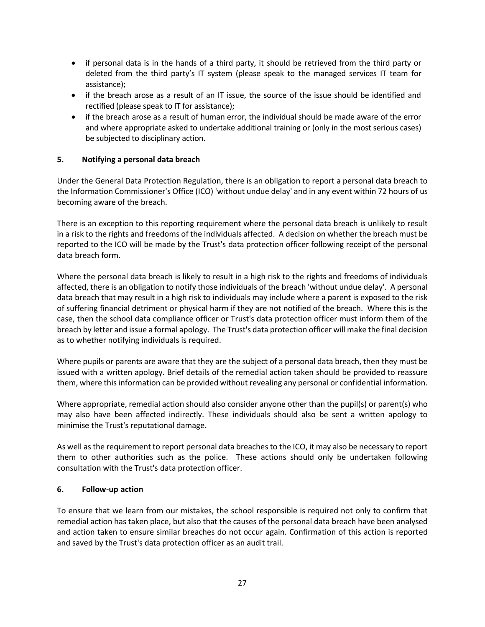- if personal data is in the hands of a third party, it should be retrieved from the third party or deleted from the third party's IT system (please speak to the managed services IT team for assistance);
- if the breach arose as a result of an IT issue, the source of the issue should be identified and rectified (please speak to IT for assistance);
- if the breach arose as a result of human error, the individual should be made aware of the error and where appropriate asked to undertake additional training or (only in the most serious cases) be subjected to disciplinary action.

### **5. Notifying a personal data breach**

Under the General Data Protection Regulation, there is an obligation to report a personal data breach to the Information Commissioner's Office (ICO) 'without undue delay' and in any event within 72 hours of us becoming aware of the breach.

There is an exception to this reporting requirement where the personal data breach is unlikely to result in a risk to the rights and freedoms of the individuals affected. A decision on whether the breach must be reported to the ICO will be made by the Trust's data protection officer following receipt of the personal data breach form.

Where the personal data breach is likely to result in a high risk to the rights and freedoms of individuals affected, there is an obligation to notify those individuals of the breach 'without undue delay'. A personal data breach that may result in a high risk to individuals may include where a parent is exposed to the risk of suffering financial detriment or physical harm if they are not notified of the breach. Where this is the case, then the school data compliance officer or Trust's data protection officer must inform them of the breach by letter and issue a formal apology. The Trust's data protection officer will make the final decision as to whether notifying individuals is required.

Where pupils or parents are aware that they are the subject of a personal data breach, then they must be issued with a written apology. Brief details of the remedial action taken should be provided to reassure them, where this information can be provided without revealing any personal or confidential information.

Where appropriate, remedial action should also consider anyone other than the pupil(s) or parent(s) who may also have been affected indirectly. These individuals should also be sent a written apology to minimise the Trust's reputational damage.

As well as the requirement to report personal data breaches to the ICO, it may also be necessary to report them to other authorities such as the police. These actions should only be undertaken following consultation with the Trust's data protection officer.

### **6. Follow-up action**

To ensure that we learn from our mistakes, the school responsible is required not only to confirm that remedial action has taken place, but also that the causes of the personal data breach have been analysed and action taken to ensure similar breaches do not occur again. Confirmation of this action is reported and saved by the Trust's data protection officer as an audit trail.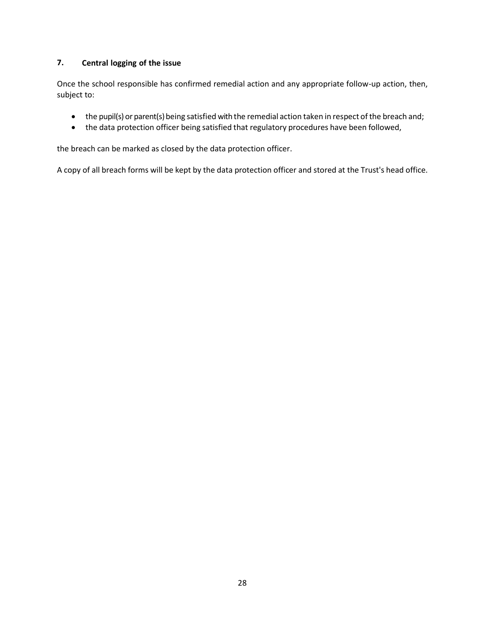# **7. Central logging of the issue**

Once the school responsible has confirmed remedial action and any appropriate follow-up action, then, subject to:

- the pupil(s) or parent(s) being satisfied with the remedial action taken in respect of the breach and;
- the data protection officer being satisfied that regulatory procedures have been followed,

the breach can be marked as closed by the data protection officer.

A copy of all breach forms will be kept by the data protection officer and stored at the Trust's head office.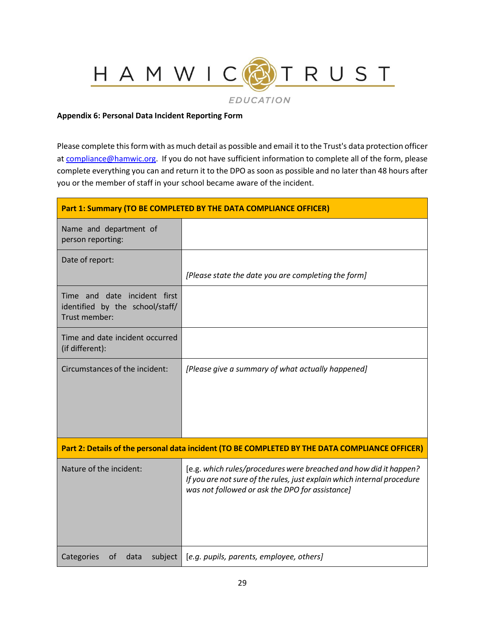**EDUCATION** 

RUST

### **Appendix 6: Personal Data Incident Reporting Form**

HAMWIC

<span id="page-28-0"></span>Please complete this form with as much detail as possible and email it to the Trust's data protection officer a[t compliance@hamwic.org.](mailto:compliance@hamwic.org) If you do not have sufficient information to complete all of the form, please complete everything you can and return it to the DPO as soon as possible and no later than 48 hours after you or the member of staff in your school became aware of the incident.

| Part 1: Summary (TO BE COMPLETED BY THE DATA COMPLIANCE OFFICER)                               |                                                                                                                                                                                                 |  |
|------------------------------------------------------------------------------------------------|-------------------------------------------------------------------------------------------------------------------------------------------------------------------------------------------------|--|
| Name and department of<br>person reporting:                                                    |                                                                                                                                                                                                 |  |
| Date of report:                                                                                | [Please state the date you are completing the form]                                                                                                                                             |  |
| Time and date incident first<br>identified by the school/staff/<br>Trust member:               |                                                                                                                                                                                                 |  |
| Time and date incident occurred<br>(if different):                                             |                                                                                                                                                                                                 |  |
| Circumstances of the incident:                                                                 | [Please give a summary of what actually happened]                                                                                                                                               |  |
| Part 2: Details of the personal data incident (TO BE COMPLETED BY THE DATA COMPLIANCE OFFICER) |                                                                                                                                                                                                 |  |
| Nature of the incident:                                                                        | [e.g. which rules/procedures were breached and how did it happen?<br>If you are not sure of the rules, just explain which internal procedure<br>was not followed or ask the DPO for assistance] |  |
| Categories<br>subject<br>0f<br>data                                                            | [e.g. pupils, parents, employee, others]                                                                                                                                                        |  |